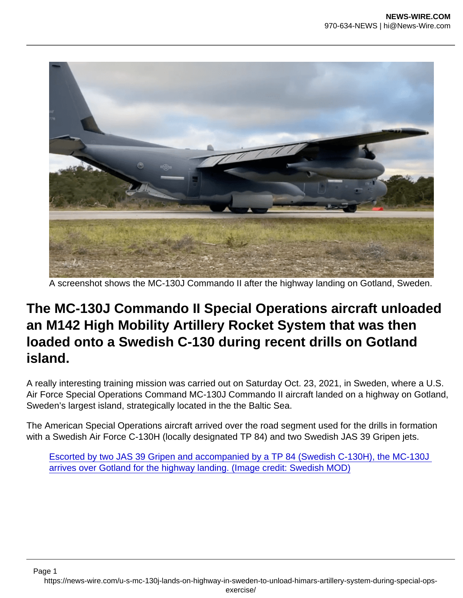A screenshot shows the MC-130J Commando II after the highway landing on Gotland, Sweden.

## The MC-130J Commando II Special Operations aircraft unloaded an M142 High Mobility Artillery Rocket System that was then loaded onto a Swedish C-130 during recent drills on Gotland island.

A really interesting training mission was carried out on Saturday Oct. 23, 2021, in Sweden, where a U.S. Air Force Special Operations Command MC-130J Commando II aircraft landed on a highway on Gotland, Sweden's largest island, strategically located in the the Baltic Sea.

The American Special Operations aircraft arrived over the road segment used for the drills in formation with a Swedish Air Force C-130H (locally designated TP 84) and two Swedish JAS 39 Gripen jets.

[Escorted by two JAS 39 Gripen and accompanied by a TP 84 \(Swedish C-130H\), the MC-130J](https://i1.wp.com/theaviationist.com/wp-content/uploads/2021/10/HIMARS3.jpg?ssl=1)  [arrives over Gotland for the highway landing. \(Image credit: Swedish MOD\)](https://i1.wp.com/theaviationist.com/wp-content/uploads/2021/10/HIMARS3.jpg?ssl=1)

Page 1 https://news-wire.com/u-s-mc-130j-lands-on-highway-in-sweden-to-unload-himars-artillery-system-during-special-opsexercise/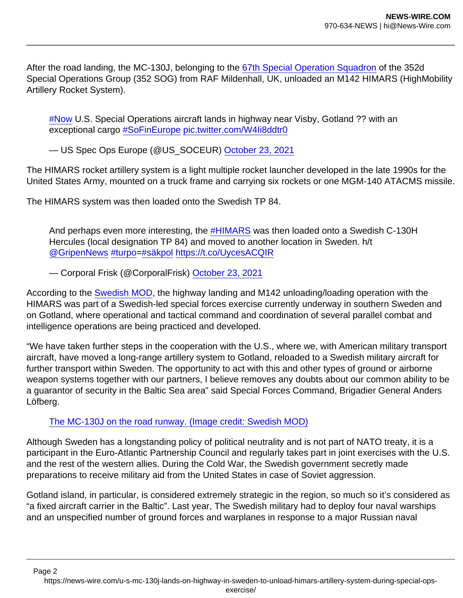After the road landing, the MC-130J, belonging to the [67th Special Operation Squadron](https://theaviationist.com/2016/12/13/watch-some-superb-footage-of-the-mc-130j-of-the-67th-special-operations-squadron-at-work/) of the 352d Special Operations Group (352 SOG) from RAF Mildenhall, UK, unloaded an M142 HIMARS (HighMobility Artillery Rocket System).

[#Now](https://twitter.com/hashtag/Now?src=hash&ref_src=twsrc^tfw) U.S. Special Operations aircraft lands in highway near Visby, Gotland ?? with an exceptional cargo [#SoFinEurope](https://twitter.com/hashtag/SoFinEurope?src=hash&ref_src=twsrc^tfw) [pic.twitter.com/W4Ii8ddtr0](https://t.co/W4Ii8ddtr0)

— US Spec Ops Europe (@US\_SOCEUR) [October 23, 2021](https://twitter.com/US_SOCEUR/status/1451814545589145607?ref_src=twsrc^tfw)

The HIMARS rocket artillery system is a light multiple rocket launcher developed in the late 1990s for the United States Army, mounted on a truck frame and carrying six rockets or one MGM-140 ATACMS missile.

The HIMARS system was then loaded onto the Swedish TP 84.

And perhaps even more interesting, the [#HIMARS](https://twitter.com/hashtag/HIMARS?src=hash&ref_src=twsrc^tfw) was then loaded onto a Swedish C-130H Hercules (local designation TP 84) and moved to another location in Sweden. h/t [@GripenNews](https://twitter.com/GripenNews?ref_src=twsrc^tfw) [#turpo=](https://twitter.com/hashtag/turpo?src=hash&ref_src=twsrc^tfw)[#säkpol](https://twitter.com/hashtag/säkpol?src=hash&ref_src=twsrc^tfw) <https://t.co/UycesACQIR>

— Corporal Frisk (@CorporalFrisk) [October 23, 2021](https://twitter.com/CorporalFrisk/status/1451884910223011841?ref_src=twsrc^tfw)

According to the [Swedish MOD,](https://www.forsvarsmakten.se/sv/aktuellt/2021/10/amerikanskt-raketartilleri-och-specialforband-ovar-pa-gotland/) the highway landing and M142 unloading/loading operation with the HIMARS was part of a Swedish-led special forces exercise currently underway in southern Sweden and on Gotland, where operational and tactical command and coordination of several parallel combat and intelligence operations are being practiced and developed.

"We have taken further steps in the cooperation with the U.S., where we, with American military transport aircraft, have moved a long-range artillery system to Gotland, reloaded to a Swedish military aircraft for further transport within Sweden. The opportunity to act with this and other types of ground or airborne weapon systems together with our partners, I believe removes any doubts about our common ability to be a guarantor of security in the Baltic Sea area" said Special Forces Command, Brigadier General Anders Löfberg.

[The MC-130J on the road runway. \(Image credit: Swedish MOD\)](https://i2.wp.com/theaviationist.com/wp-content/uploads/2021/10/HIMARS2.jpg?ssl=1)

Although Sweden has a longstanding policy of political neutrality and is not part of NATO treaty, it is a participant in the Euro-Atlantic Partnership Council and regularly takes part in joint exercises with the U.S. and the rest of the western allies. During the Cold War, the Swedish government secretly made preparations to receive military aid from the United States in case of Soviet aggression.

Gotland island, in particular, is considered extremely strategic in the region, so much so it's considered as "a fixed aircraft carrier in the Baltic". Last year, The Swedish military had to deploy four naval warships and an unspecified number of ground forces and warplanes in response to a major Russian naval

Page 2 https://news-wire.com/u-s-mc-130j-lands-on-highway-in-sweden-to-unload-himars-artillery-system-during-special-opsexercise/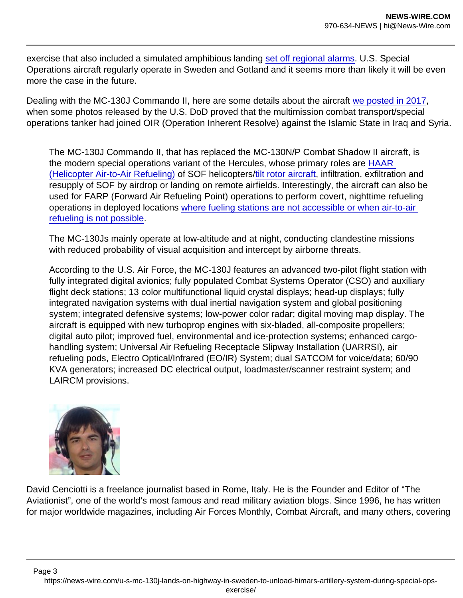exercise that also included a simulated amphibious landing [set off regional alarms](https://www.nytimes.com/2020/08/26/world/europe/sweden-russia-NATO-Baltic-Sea.html). U.S. Special Operations aircraft regularly operate in Sweden and Gotland and it seems more than likely it will be even more the case in the future.

Dealing with the MC-130J Commando II, here are some details about the aircraft [we posted in 2017,](https://theaviationist.com/2017/06/01/the-u-s-air-force-has-just-released-a-photo-that-proves-the-mc-130j-commando-ii-has-joined-the-air-war-on-isis/) when some photos released by the U.S. DoD proved that the multimission combat transport/special operations tanker had joined OIR (Operation Inherent Resolve) against the Islamic State in Iraq and Syria.

The MC-130J Commando II, that has replaced the MC-130N/P Combat Shadow II aircraft, is the modern special operations variant of the Hercules, whose primary roles are [HAAR](https://theaviationist.com/2013/04/15/video-shows-how-difficult-helicopter-air-to-air-refueling-can-be/)  [\(Helicopter Air-to-Air Refueling\)](https://theaviationist.com/2013/04/15/video-shows-how-difficult-helicopter-air-to-air-refueling-can-be/) of SOF helicopters/[tilt rotor aircraft,](https://theaviationist.com/2013/08/01/mc-130j-cv-22/) infiltration, exfiltration and resupply of SOF by airdrop or landing on remote airfields. Interestingly, the aircraft can also be used for FARP (Forward Air Refueling Point) operations to perform covert, nighttime refueling operations in deployed locations [where fueling stations are not accessible or when air-to-air](https://theaviationist.com/2017/03/02/watch-an-mc-130j-commando-ii-refuel-two-f-22-raptor-jets-on-the-ground-at-a-forward-air-refueling-point/)  [refueling is not possible](https://theaviationist.com/2017/03/02/watch-an-mc-130j-commando-ii-refuel-two-f-22-raptor-jets-on-the-ground-at-a-forward-air-refueling-point/).

The MC-130Js mainly operate at low-altitude and at night, conducting clandestine missions with reduced probability of visual acquisition and intercept by airborne threats.

According to the U.S. Air Force, the MC-130J features an advanced two-pilot flight station with fully integrated digital avionics; fully populated Combat Systems Operator (CSO) and auxiliary flight deck stations; 13 color multifunctional liquid crystal displays; head-up displays; fully integrated navigation systems with dual inertial navigation system and global positioning system; integrated defensive systems; low-power color radar; digital moving map display. The aircraft is equipped with new turboprop engines with six-bladed, all-composite propellers; digital auto pilot; improved fuel, environmental and ice-protection systems; enhanced cargohandling system; Universal Air Refueling Receptacle Slipway Installation (UARRSI), air refueling pods, Electro Optical/Infrared (EO/IR) System; dual SATCOM for voice/data; 60/90 KVA generators; increased DC electrical output, loadmaster/scanner restraint system; and LAIRCM provisions.

David Cenciotti is a freelance journalist based in Rome, Italy. He is the Founder and Editor of "The Aviationist", one of the world's most famous and read military aviation blogs. Since 1996, he has written for major worldwide magazines, including Air Forces Monthly, Combat Aircraft, and many others, covering

Page 3 https://news-wire.com/u-s-mc-130j-lands-on-highway-in-sweden-to-unload-himars-artillery-system-during-special-opsexercise/